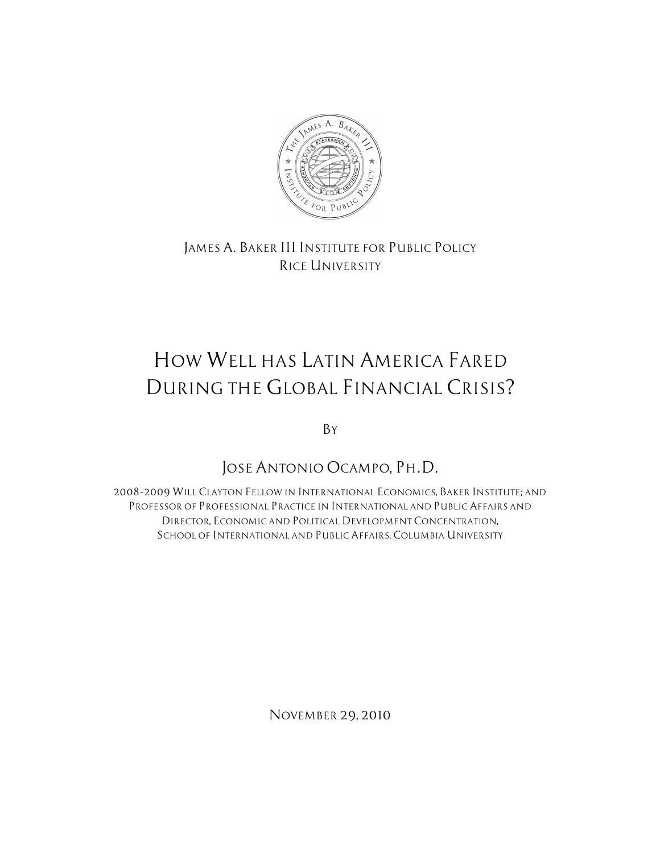

*JAMES A. BAKER III INSTITUTE FOR PUBLIC POLICY RICE UNIVERSITY*

# *HOW WELL HAS LATIN AMERICA FARED DURING THE GLOBAL FINANCIAL CRISIS?*

*BY*

*JOSE ANTONIO OCAMPO, PH.D.*

*2008-2009 WILL CLAYTON FELLOW IN INTERNATIONAL ECONOMICS, BAKER INSTITUTE; AND PROFESSOR OF PROFESSIONAL PRACTICE IN INTERNATIONAL AND PUBLIC AFFAIRS AND DIRECTOR, ECONOMIC AND POLITICAL DEVELOPMENT CONCENTRATION, SCHOOL OF INTERNATIONAL AND PUBLIC AFFAIRS, COLUMBIA UNIVERSITY*

*NOVEMBER 29, 2010*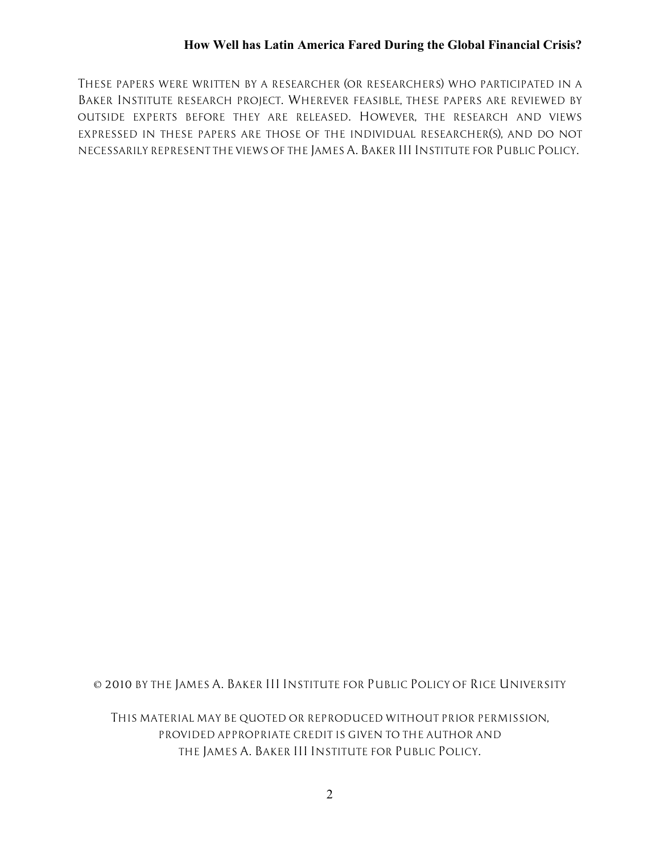*THESE PAPERS WERE WRITTEN BY A RESEARCHER (OR RESEARCHERS) WHO PARTICIPATED IN A BAKER INSTITUTE RESEARCH PROJECT. WHEREVER FEASIBLE, THESE PAPERS ARE REVIEWED BY OUTSIDE EXPERTS BEFORE THEY ARE RELEASED. HOWEVER, THE RESEARCH AND VIEWS EXPRESSED IN THESE PAPERS ARE THOSE OF THE INDIVIDUAL RESEARCHER(S), AND DO NOT NECESSARILY REPRESENT THE VIEWS OF THE JAMES A. BAKER III INSTITUTE FOR PUBLIC POLICY.*

*© 2010 BY THE JAMES A. BAKER III INSTITUTE FOR PUBLIC POLICY OF RICE UNIVERSITY*

*THIS MATERIAL MAY BE QUOTED OR REPRODUCED WITHOUT PRIOR PERMISSION, PROVIDED APPROPRIATE CREDIT IS GIVEN TO THE AUTHOR AND THE JAMES A. BAKER III INSTITUTE FOR PUBLIC POLICY.*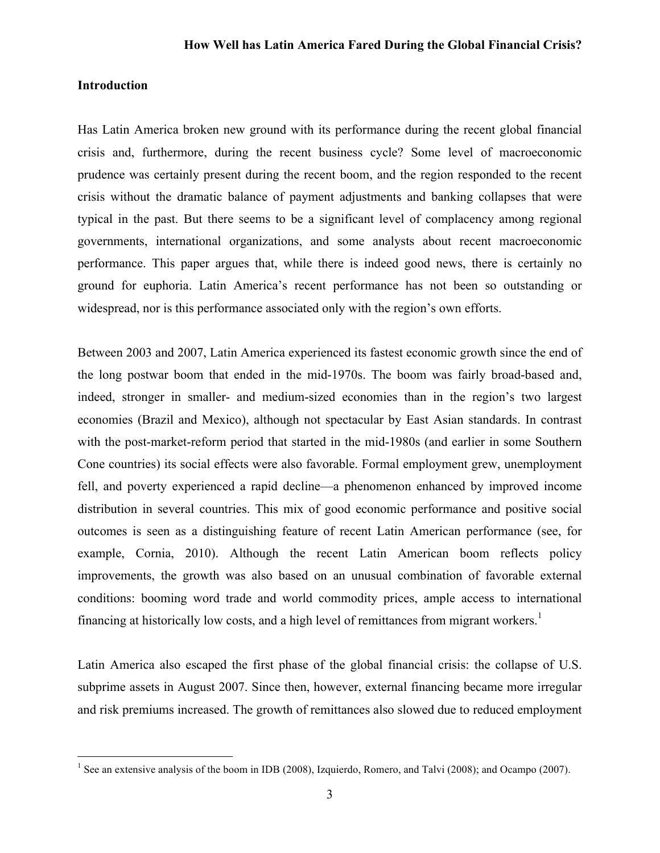## **Introduction**

Has Latin America broken new ground with its performance during the recent global financial crisis and, furthermore, during the recent business cycle? Some level of macroeconomic prudence was certainly present during the recent boom, and the region responded to the recent crisis without the dramatic balance of payment adjustments and banking collapses that were typical in the past. But there seems to be a significant level of complacency among regional governments, international organizations, and some analysts about recent macroeconomic performance. This paper argues that, while there is indeed good news, there is certainly no ground for euphoria. Latin America's recent performance has not been so outstanding or widespread, nor is this performance associated only with the region's own efforts.

Between 2003 and 2007, Latin America experienced its fastest economic growth since the end of the long postwar boom that ended in the mid-1970s. The boom was fairly broad-based and, indeed, stronger in smaller- and medium-sized economies than in the region's two largest economies (Brazil and Mexico), although not spectacular by East Asian standards. In contrast with the post-market-reform period that started in the mid-1980s (and earlier in some Southern Cone countries) its social effects were also favorable. Formal employment grew, unemployment fell, and poverty experienced a rapid decline—a phenomenon enhanced by improved income distribution in several countries. This mix of good economic performance and positive social outcomes is seen as a distinguishing feature of recent Latin American performance (see, for example, Cornia, 2010). Although the recent Latin American boom reflects policy improvements, the growth was also based on an unusual combination of favorable external conditions: booming word trade and world commodity prices, ample access to international financing at historically low costs, and a high level of remittances from migrant workers.<sup>1</sup>

Latin America also escaped the first phase of the global financial crisis: the collapse of U.S. subprime assets in August 2007. Since then, however, external financing became more irregular and risk premiums increased. The growth of remittances also slowed due to reduced employment

<sup>&</sup>lt;sup>1</sup> See an extensive analysis of the boom in IDB (2008), Izquierdo, Romero, and Talvi (2008); and Ocampo (2007).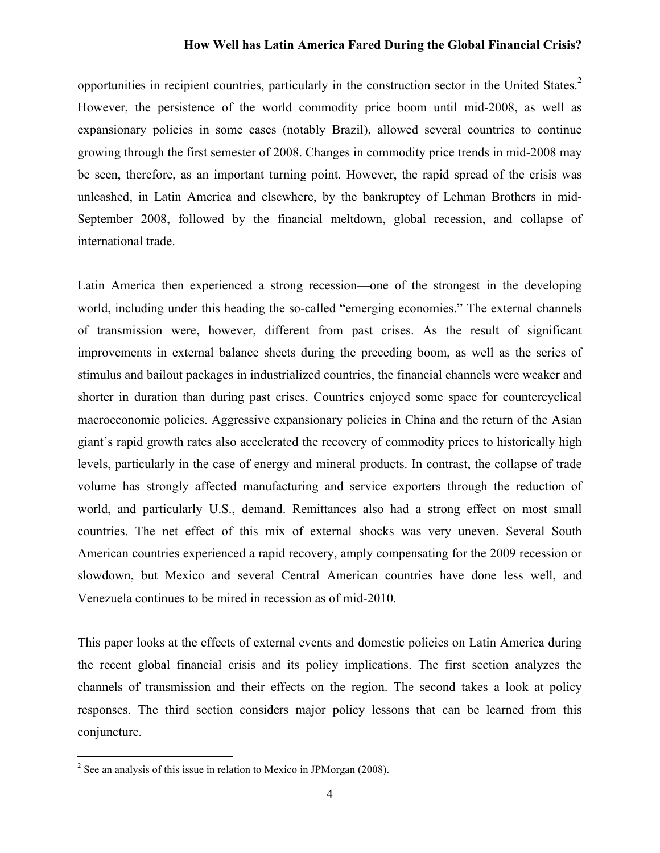opportunities in recipient countries, particularly in the construction sector in the United States.2 However, the persistence of the world commodity price boom until mid-2008, as well as expansionary policies in some cases (notably Brazil), allowed several countries to continue growing through the first semester of 2008. Changes in commodity price trends in mid-2008 may be seen, therefore, as an important turning point. However, the rapid spread of the crisis was unleashed, in Latin America and elsewhere, by the bankruptcy of Lehman Brothers in mid-September 2008, followed by the financial meltdown, global recession, and collapse of international trade.

Latin America then experienced a strong recession—one of the strongest in the developing world, including under this heading the so-called "emerging economies." The external channels of transmission were, however, different from past crises. As the result of significant improvements in external balance sheets during the preceding boom, as well as the series of stimulus and bailout packages in industrialized countries, the financial channels were weaker and shorter in duration than during past crises. Countries enjoyed some space for countercyclical macroeconomic policies. Aggressive expansionary policies in China and the return of the Asian giant's rapid growth rates also accelerated the recovery of commodity prices to historically high levels, particularly in the case of energy and mineral products. In contrast, the collapse of trade volume has strongly affected manufacturing and service exporters through the reduction of world, and particularly U.S., demand. Remittances also had a strong effect on most small countries. The net effect of this mix of external shocks was very uneven. Several South American countries experienced a rapid recovery, amply compensating for the 2009 recession or slowdown, but Mexico and several Central American countries have done less well, and Venezuela continues to be mired in recession as of mid-2010.

This paper looks at the effects of external events and domestic policies on Latin America during the recent global financial crisis and its policy implications. The first section analyzes the channels of transmission and their effects on the region. The second takes a look at policy responses. The third section considers major policy lessons that can be learned from this conjuncture.

 $2^2$  See an analysis of this issue in relation to Mexico in JPMorgan (2008).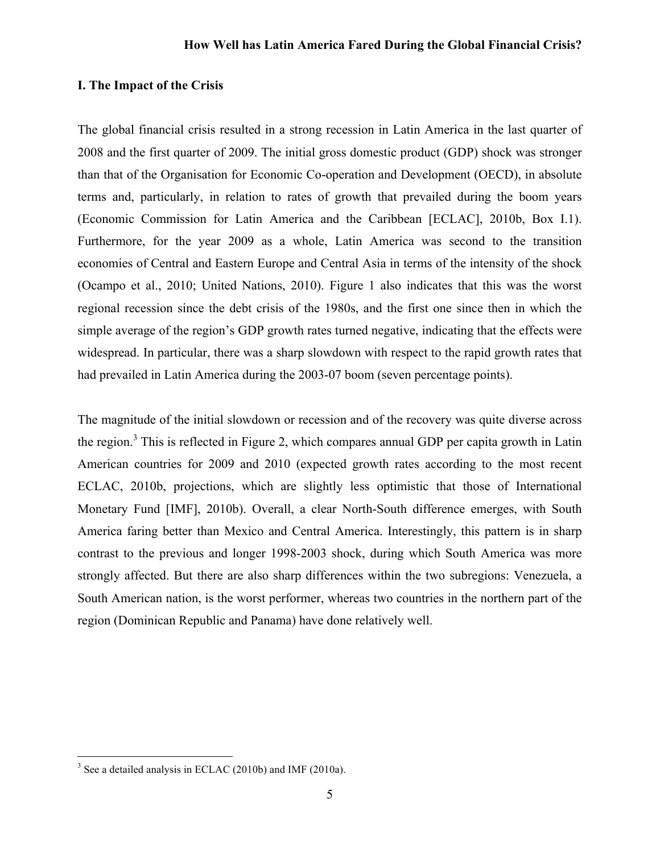## **I. The Impact of the Crisis**

The global financial crisis resulted in a strong recession in Latin America in the last quarter of 2008 and the first quarter of 2009. The initial gross domestic product (GDP) shock was stronger than that of the Organisation for Economic Co-operation and Development (OECD), in absolute terms and, particularly, in relation to rates of growth that prevailed during the boom years (Economic Commission for Latin America and the Caribbean [ECLAC], 2010b, Box I.1). Furthermore, for the year 2009 as a whole, Latin America was second to the transition economies of Central and Eastern Europe and Central Asia in terms of the intensity of the shock (Ocampo et al., 2010; United Nations, 2010). Figure 1 also indicates that this was the worst regional recession since the debt crisis of the 1980s, and the first one since then in which the simple average of the region's GDP growth rates turned negative, indicating that the effects were widespread. In particular, there was a sharp slowdown with respect to the rapid growth rates that had prevailed in Latin America during the 2003-07 boom (seven percentage points).

The magnitude of the initial slowdown or recession and of the recovery was quite diverse across the region.<sup>3</sup> This is reflected in Figure 2, which compares annual GDP per capita growth in Latin American countries for 2009 and 2010 (expected growth rates according to the most recent ECLAC, 2010b, projections, which are slightly less optimistic that those of International Monetary Fund [IMF], 2010b). Overall, a clear North-South difference emerges, with South America faring better than Mexico and Central America. Interestingly, this pattern is in sharp contrast to the previous and longer 1998-2003 shock, during which South America was more strongly affected. But there are also sharp differences within the two subregions: Venezuela, a South American nation, is the worst performer, whereas two countries in the northern part of the region (Dominican Republic and Panama) have done relatively well.

 $3$  See a detailed analysis in ECLAC (2010b) and IMF (2010a).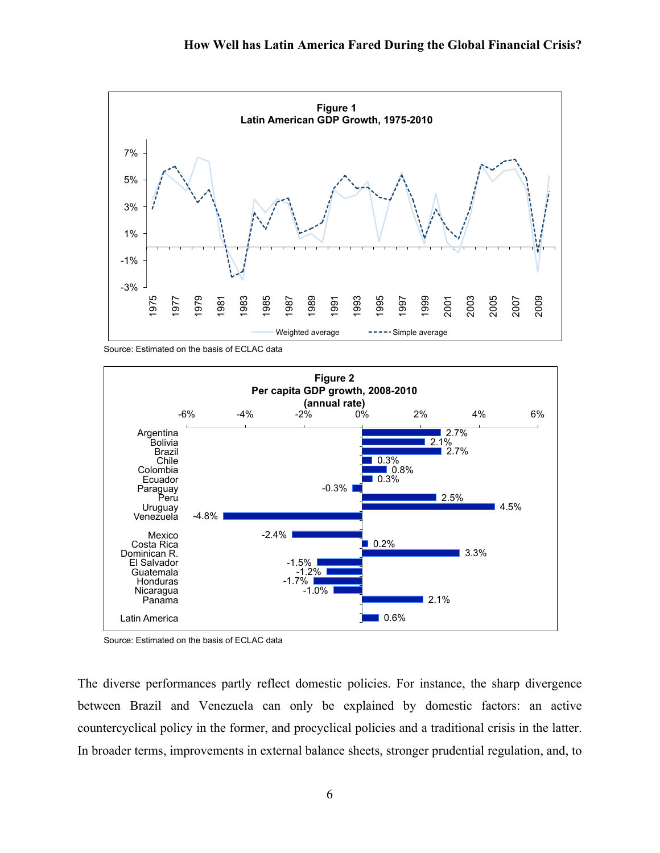

Source: Estimated on the basis of ECLAC data



Source: Estimated on the basis of ECLAC data

The diverse performances partly reflect domestic policies. For instance, the sharp divergence between Brazil and Venezuela can only be explained by domestic factors: an active countercyclical policy in the former, and procyclical policies and a traditional crisis in the latter. In broader terms, improvements in external balance sheets, stronger prudential regulation, and, to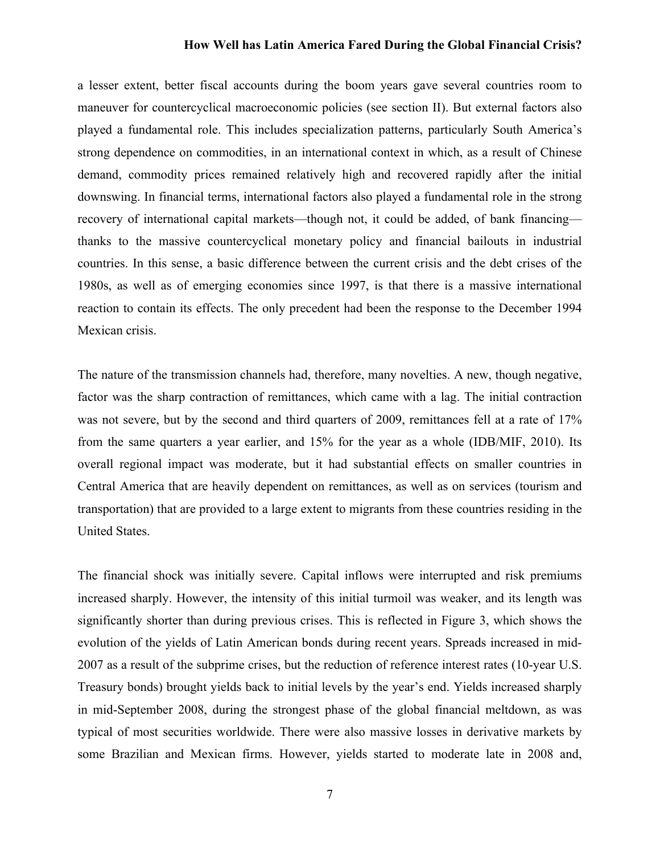a lesser extent, better fiscal accounts during the boom years gave several countries room to maneuver for countercyclical macroeconomic policies (see section II). But external factors also played a fundamental role. This includes specialization patterns, particularly South America's strong dependence on commodities, in an international context in which, as a result of Chinese demand, commodity prices remained relatively high and recovered rapidly after the initial downswing. In financial terms, international factors also played a fundamental role in the strong recovery of international capital markets—though not, it could be added, of bank financing thanks to the massive countercyclical monetary policy and financial bailouts in industrial countries. In this sense, a basic difference between the current crisis and the debt crises of the 1980s, as well as of emerging economies since 1997, is that there is a massive international reaction to contain its effects. The only precedent had been the response to the December 1994 Mexican crisis.

The nature of the transmission channels had, therefore, many novelties. A new, though negative, factor was the sharp contraction of remittances, which came with a lag. The initial contraction was not severe, but by the second and third quarters of 2009, remittances fell at a rate of 17% from the same quarters a year earlier, and 15% for the year as a whole (IDB/MIF, 2010). Its overall regional impact was moderate, but it had substantial effects on smaller countries in Central America that are heavily dependent on remittances, as well as on services (tourism and transportation) that are provided to a large extent to migrants from these countries residing in the United States.

The financial shock was initially severe. Capital inflows were interrupted and risk premiums increased sharply. However, the intensity of this initial turmoil was weaker, and its length was significantly shorter than during previous crises. This is reflected in Figure 3, which shows the evolution of the yields of Latin American bonds during recent years. Spreads increased in mid-2007 as a result of the subprime crises, but the reduction of reference interest rates (10-year U.S. Treasury bonds) brought yields back to initial levels by the year's end. Yields increased sharply in mid-September 2008, during the strongest phase of the global financial meltdown, as was typical of most securities worldwide. There were also massive losses in derivative markets by some Brazilian and Mexican firms. However, yields started to moderate late in 2008 and,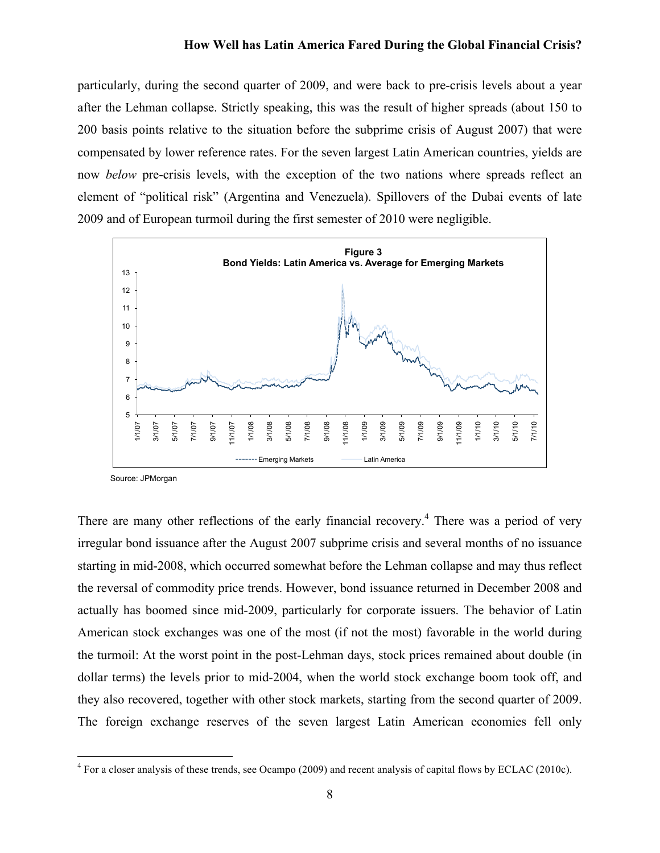particularly, during the second quarter of 2009, and were back to pre-crisis levels about a year after the Lehman collapse. Strictly speaking, this was the result of higher spreads (about 150 to 200 basis points relative to the situation before the subprime crisis of August 2007) that were compensated by lower reference rates. For the seven largest Latin American countries, yields are now *below* pre-crisis levels, with the exception of the two nations where spreads reflect an element of "political risk" (Argentina and Venezuela). Spillovers of the Dubai events of late 2009 and of European turmoil during the first semester of 2010 were negligible.



Source: JPMorgan

There are many other reflections of the early financial recovery.<sup>4</sup> There was a period of very irregular bond issuance after the August 2007 subprime crisis and several months of no issuance starting in mid-2008, which occurred somewhat before the Lehman collapse and may thus reflect the reversal of commodity price trends. However, bond issuance returned in December 2008 and actually has boomed since mid-2009, particularly for corporate issuers. The behavior of Latin American stock exchanges was one of the most (if not the most) favorable in the world during the turmoil: At the worst point in the post-Lehman days, stock prices remained about double (in dollar terms) the levels prior to mid-2004, when the world stock exchange boom took off, and they also recovered, together with other stock markets, starting from the second quarter of 2009. The foreign exchange reserves of the seven largest Latin American economies fell only

 $4$  For a closer analysis of these trends, see Ocampo (2009) and recent analysis of capital flows by ECLAC (2010c).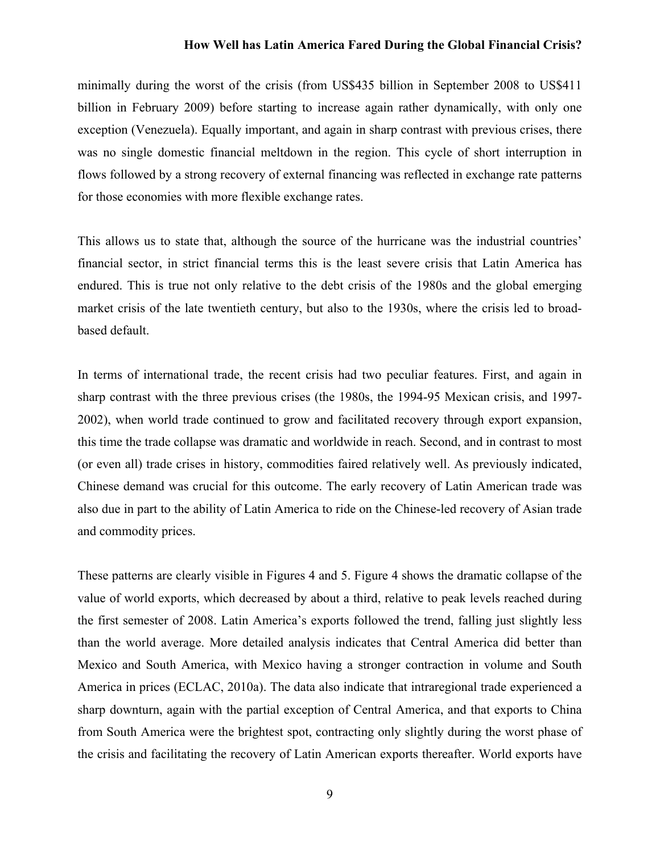minimally during the worst of the crisis (from US\$435 billion in September 2008 to US\$411 billion in February 2009) before starting to increase again rather dynamically, with only one exception (Venezuela). Equally important, and again in sharp contrast with previous crises, there was no single domestic financial meltdown in the region. This cycle of short interruption in flows followed by a strong recovery of external financing was reflected in exchange rate patterns for those economies with more flexible exchange rates.

This allows us to state that, although the source of the hurricane was the industrial countries' financial sector, in strict financial terms this is the least severe crisis that Latin America has endured. This is true not only relative to the debt crisis of the 1980s and the global emerging market crisis of the late twentieth century, but also to the 1930s, where the crisis led to broadbased default.

In terms of international trade, the recent crisis had two peculiar features. First, and again in sharp contrast with the three previous crises (the 1980s, the 1994-95 Mexican crisis, and 1997- 2002), when world trade continued to grow and facilitated recovery through export expansion, this time the trade collapse was dramatic and worldwide in reach. Second, and in contrast to most (or even all) trade crises in history, commodities faired relatively well. As previously indicated, Chinese demand was crucial for this outcome. The early recovery of Latin American trade was also due in part to the ability of Latin America to ride on the Chinese-led recovery of Asian trade and commodity prices.

These patterns are clearly visible in Figures 4 and 5. Figure 4 shows the dramatic collapse of the value of world exports, which decreased by about a third, relative to peak levels reached during the first semester of 2008. Latin America's exports followed the trend, falling just slightly less than the world average. More detailed analysis indicates that Central America did better than Mexico and South America, with Mexico having a stronger contraction in volume and South America in prices (ECLAC, 2010a). The data also indicate that intraregional trade experienced a sharp downturn, again with the partial exception of Central America, and that exports to China from South America were the brightest spot, contracting only slightly during the worst phase of the crisis and facilitating the recovery of Latin American exports thereafter. World exports have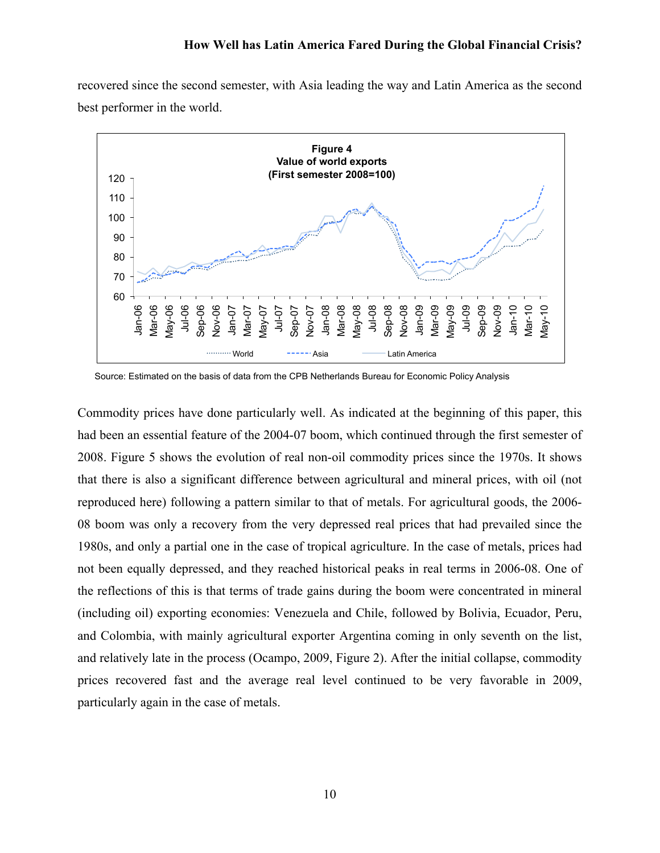recovered since the second semester, with Asia leading the way and Latin America as the second best performer in the world.



Source: Estimated on the basis of data from the CPB Netherlands Bureau for Economic Policy Analysis

Commodity prices have done particularly well. As indicated at the beginning of this paper, this had been an essential feature of the 2004-07 boom, which continued through the first semester of 2008. Figure 5 shows the evolution of real non-oil commodity prices since the 1970s. It shows that there is also a significant difference between agricultural and mineral prices, with oil (not reproduced here) following a pattern similar to that of metals. For agricultural goods, the 2006- 08 boom was only a recovery from the very depressed real prices that had prevailed since the 1980s, and only a partial one in the case of tropical agriculture. In the case of metals, prices had not been equally depressed, and they reached historical peaks in real terms in 2006-08. One of the reflections of this is that terms of trade gains during the boom were concentrated in mineral (including oil) exporting economies: Venezuela and Chile, followed by Bolivia, Ecuador, Peru, and Colombia, with mainly agricultural exporter Argentina coming in only seventh on the list, and relatively late in the process (Ocampo, 2009, Figure 2). After the initial collapse, commodity prices recovered fast and the average real level continued to be very favorable in 2009, particularly again in the case of metals.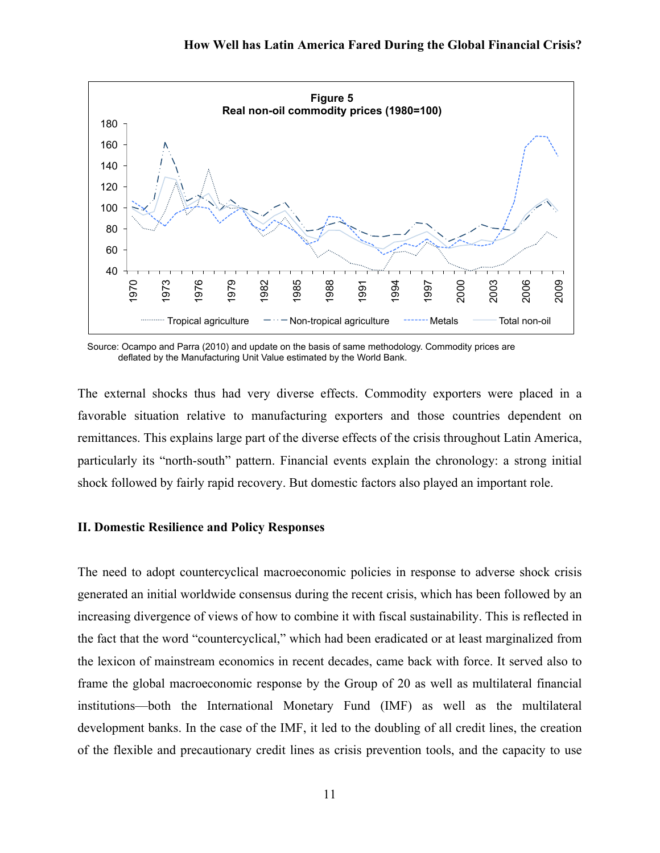

 Source: Ocampo and Parra (2010) and update on the basis of same methodology. Commodity prices are deflated by the Manufacturing Unit Value estimated by the World Bank.

The external shocks thus had very diverse effects. Commodity exporters were placed in a favorable situation relative to manufacturing exporters and those countries dependent on remittances. This explains large part of the diverse effects of the crisis throughout Latin America, particularly its "north-south" pattern. Financial events explain the chronology: a strong initial shock followed by fairly rapid recovery. But domestic factors also played an important role.

## **II. Domestic Resilience and Policy Responses**

The need to adopt countercyclical macroeconomic policies in response to adverse shock crisis generated an initial worldwide consensus during the recent crisis, which has been followed by an increasing divergence of views of how to combine it with fiscal sustainability. This is reflected in the fact that the word "countercyclical," which had been eradicated or at least marginalized from the lexicon of mainstream economics in recent decades, came back with force. It served also to frame the global macroeconomic response by the Group of 20 as well as multilateral financial institutions—both the International Monetary Fund (IMF) as well as the multilateral development banks. In the case of the IMF, it led to the doubling of all credit lines, the creation of the flexible and precautionary credit lines as crisis prevention tools, and the capacity to use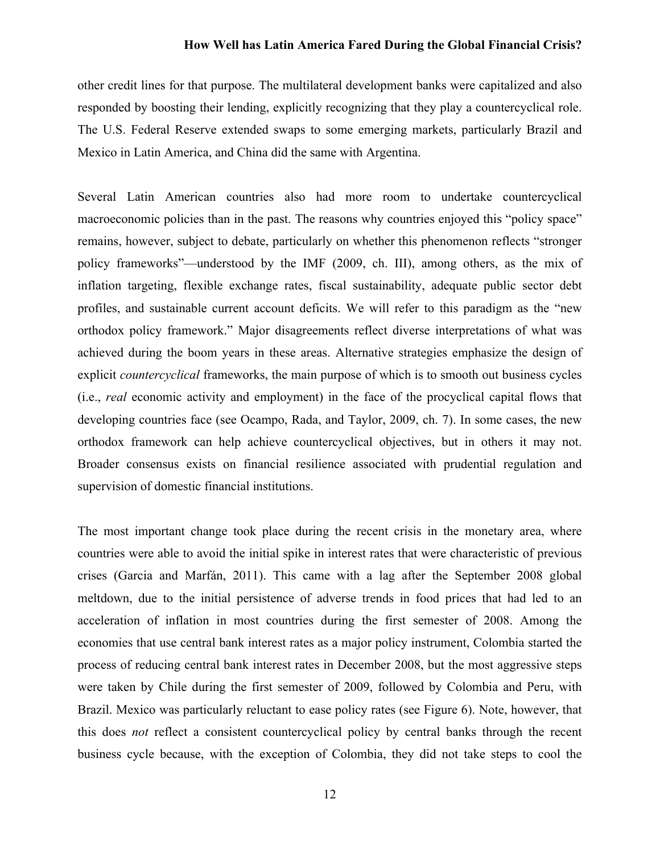other credit lines for that purpose. The multilateral development banks were capitalized and also responded by boosting their lending, explicitly recognizing that they play a countercyclical role. The U.S. Federal Reserve extended swaps to some emerging markets, particularly Brazil and Mexico in Latin America, and China did the same with Argentina.

Several Latin American countries also had more room to undertake countercyclical macroeconomic policies than in the past. The reasons why countries enjoyed this "policy space" remains, however, subject to debate, particularly on whether this phenomenon reflects "stronger policy frameworks"—understood by the IMF (2009, ch. III), among others, as the mix of inflation targeting, flexible exchange rates, fiscal sustainability, adequate public sector debt profiles, and sustainable current account deficits. We will refer to this paradigm as the "new orthodox policy framework." Major disagreements reflect diverse interpretations of what was achieved during the boom years in these areas. Alternative strategies emphasize the design of explicit *countercyclical* frameworks, the main purpose of which is to smooth out business cycles (i.e., *real* economic activity and employment) in the face of the procyclical capital flows that developing countries face (see Ocampo, Rada, and Taylor, 2009, ch. 7). In some cases, the new orthodox framework can help achieve countercyclical objectives, but in others it may not. Broader consensus exists on financial resilience associated with prudential regulation and supervision of domestic financial institutions.

The most important change took place during the recent crisis in the monetary area, where countries were able to avoid the initial spike in interest rates that were characteristic of previous crises (Garcia and Marfán, 2011). This came with a lag after the September 2008 global meltdown, due to the initial persistence of adverse trends in food prices that had led to an acceleration of inflation in most countries during the first semester of 2008. Among the economies that use central bank interest rates as a major policy instrument, Colombia started the process of reducing central bank interest rates in December 2008, but the most aggressive steps were taken by Chile during the first semester of 2009, followed by Colombia and Peru, with Brazil. Mexico was particularly reluctant to ease policy rates (see Figure 6). Note, however, that this does *not* reflect a consistent countercyclical policy by central banks through the recent business cycle because, with the exception of Colombia, they did not take steps to cool the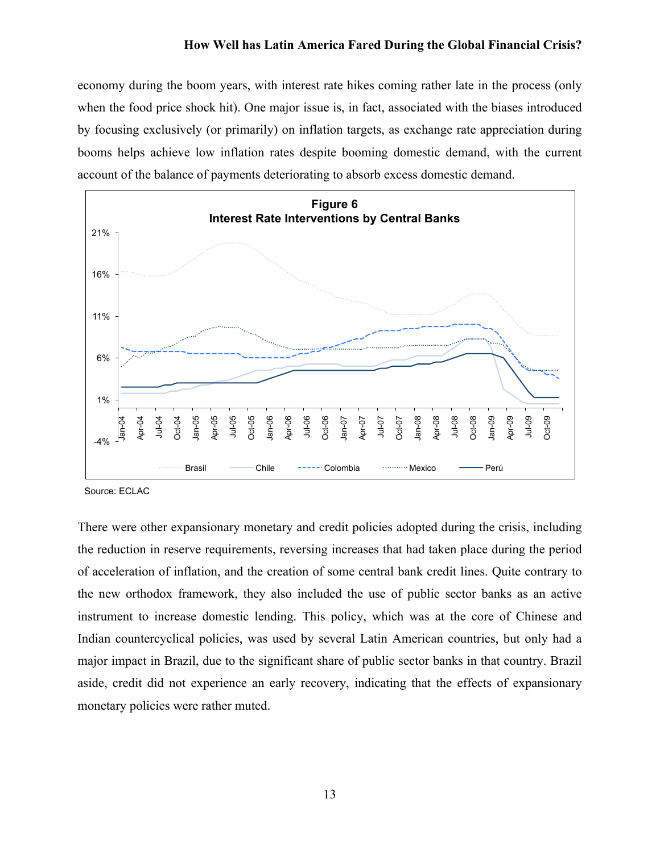economy during the boom years, with interest rate hikes coming rather late in the process (only when the food price shock hit). One major issue is, in fact, associated with the biases introduced by focusing exclusively (or primarily) on inflation targets, as exchange rate appreciation during booms helps achieve low inflation rates despite booming domestic demand, with the current account of the balance of payments deteriorating to absorb excess domestic demand.



Source: ECLAC

There were other expansionary monetary and credit policies adopted during the crisis, including the reduction in reserve requirements, reversing increases that had taken place during the period of acceleration of inflation, and the creation of some central bank credit lines. Quite contrary to the new orthodox framework, they also included the use of public sector banks as an active instrument to increase domestic lending. This policy, which was at the core of Chinese and Indian countercyclical policies, was used by several Latin American countries, but only had a major impact in Brazil, due to the significant share of public sector banks in that country. Brazil aside, credit did not experience an early recovery, indicating that the effects of expansionary monetary policies were rather muted.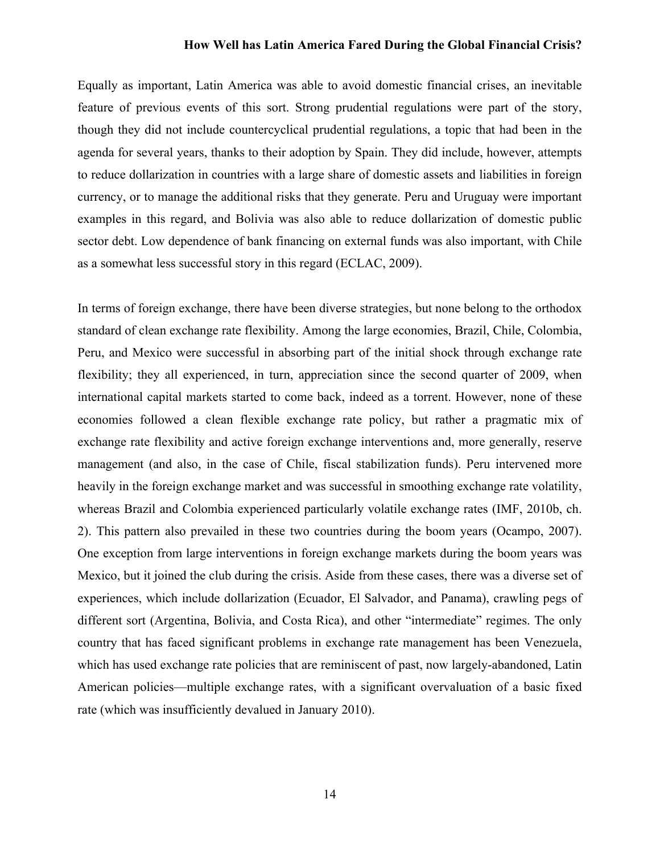Equally as important, Latin America was able to avoid domestic financial crises, an inevitable feature of previous events of this sort. Strong prudential regulations were part of the story, though they did not include countercyclical prudential regulations, a topic that had been in the agenda for several years, thanks to their adoption by Spain. They did include, however, attempts to reduce dollarization in countries with a large share of domestic assets and liabilities in foreign currency, or to manage the additional risks that they generate. Peru and Uruguay were important examples in this regard, and Bolivia was also able to reduce dollarization of domestic public sector debt. Low dependence of bank financing on external funds was also important, with Chile as a somewhat less successful story in this regard (ECLAC, 2009).

In terms of foreign exchange, there have been diverse strategies, but none belong to the orthodox standard of clean exchange rate flexibility. Among the large economies, Brazil, Chile, Colombia, Peru, and Mexico were successful in absorbing part of the initial shock through exchange rate flexibility; they all experienced, in turn, appreciation since the second quarter of 2009, when international capital markets started to come back, indeed as a torrent. However, none of these economies followed a clean flexible exchange rate policy, but rather a pragmatic mix of exchange rate flexibility and active foreign exchange interventions and, more generally, reserve management (and also, in the case of Chile, fiscal stabilization funds). Peru intervened more heavily in the foreign exchange market and was successful in smoothing exchange rate volatility, whereas Brazil and Colombia experienced particularly volatile exchange rates (IMF, 2010b, ch. 2). This pattern also prevailed in these two countries during the boom years (Ocampo, 2007). One exception from large interventions in foreign exchange markets during the boom years was Mexico, but it joined the club during the crisis. Aside from these cases, there was a diverse set of experiences, which include dollarization (Ecuador, El Salvador, and Panama), crawling pegs of different sort (Argentina, Bolivia, and Costa Rica), and other "intermediate" regimes. The only country that has faced significant problems in exchange rate management has been Venezuela, which has used exchange rate policies that are reminiscent of past, now largely-abandoned, Latin American policies—multiple exchange rates, with a significant overvaluation of a basic fixed rate (which was insufficiently devalued in January 2010).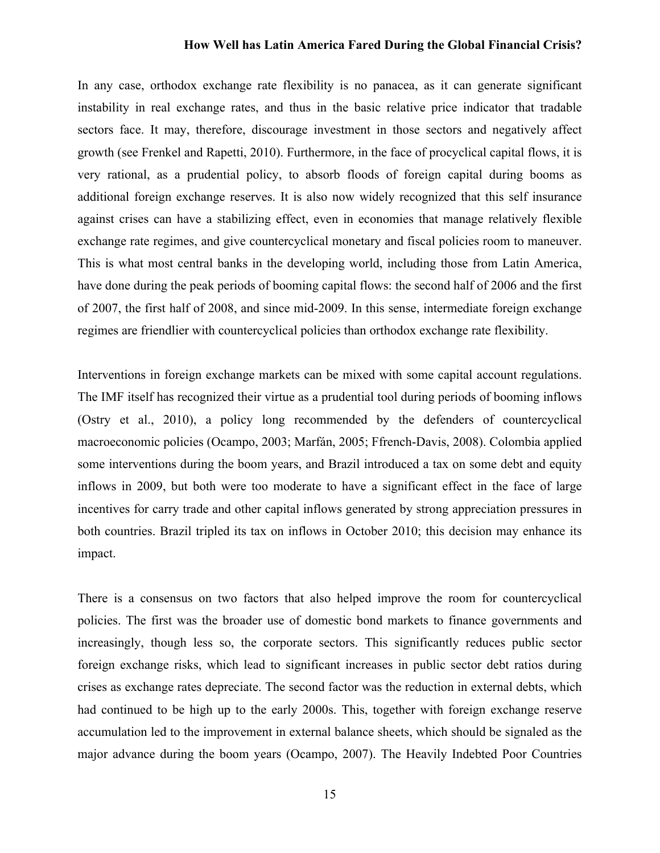In any case, orthodox exchange rate flexibility is no panacea, as it can generate significant instability in real exchange rates, and thus in the basic relative price indicator that tradable sectors face. It may, therefore, discourage investment in those sectors and negatively affect growth (see Frenkel and Rapetti, 2010). Furthermore, in the face of procyclical capital flows, it is very rational, as a prudential policy, to absorb floods of foreign capital during booms as additional foreign exchange reserves. It is also now widely recognized that this self insurance against crises can have a stabilizing effect, even in economies that manage relatively flexible exchange rate regimes, and give countercyclical monetary and fiscal policies room to maneuver. This is what most central banks in the developing world, including those from Latin America, have done during the peak periods of booming capital flows: the second half of 2006 and the first of 2007, the first half of 2008, and since mid-2009. In this sense, intermediate foreign exchange regimes are friendlier with countercyclical policies than orthodox exchange rate flexibility.

Interventions in foreign exchange markets can be mixed with some capital account regulations. The IMF itself has recognized their virtue as a prudential tool during periods of booming inflows (Ostry et al., 2010), a policy long recommended by the defenders of countercyclical macroeconomic policies (Ocampo, 2003; Marfán, 2005; Ffrench-Davis, 2008). Colombia applied some interventions during the boom years, and Brazil introduced a tax on some debt and equity inflows in 2009, but both were too moderate to have a significant effect in the face of large incentives for carry trade and other capital inflows generated by strong appreciation pressures in both countries. Brazil tripled its tax on inflows in October 2010; this decision may enhance its impact.

There is a consensus on two factors that also helped improve the room for countercyclical policies. The first was the broader use of domestic bond markets to finance governments and increasingly, though less so, the corporate sectors. This significantly reduces public sector foreign exchange risks, which lead to significant increases in public sector debt ratios during crises as exchange rates depreciate. The second factor was the reduction in external debts, which had continued to be high up to the early 2000s. This, together with foreign exchange reserve accumulation led to the improvement in external balance sheets, which should be signaled as the major advance during the boom years (Ocampo, 2007). The Heavily Indebted Poor Countries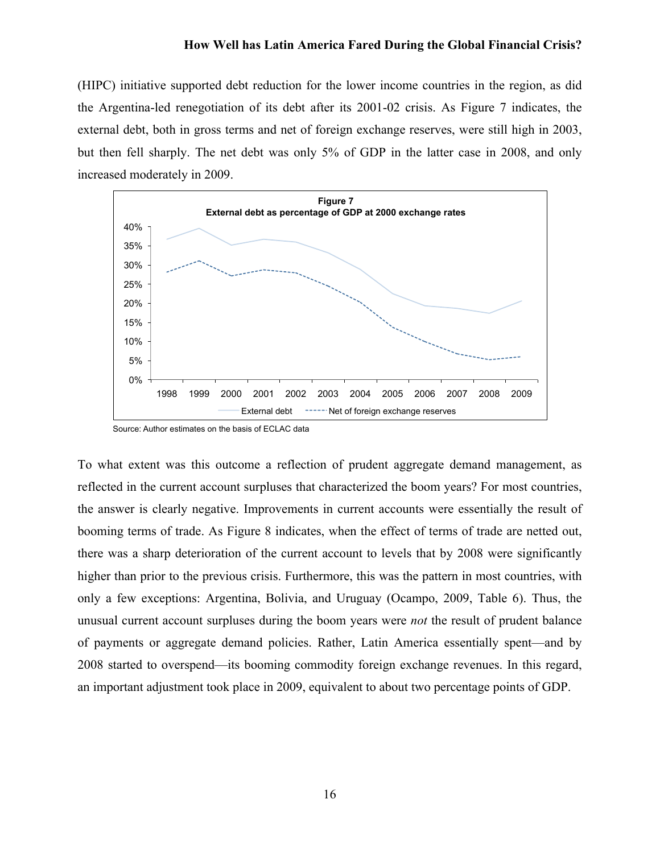(HIPC) initiative supported debt reduction for the lower income countries in the region, as did the Argentina-led renegotiation of its debt after its 2001-02 crisis. As Figure 7 indicates, the external debt, both in gross terms and net of foreign exchange reserves, were still high in 2003, but then fell sharply. The net debt was only 5% of GDP in the latter case in 2008, and only increased moderately in 2009.



Source: Author estimates on the basis of ECLAC data

To what extent was this outcome a reflection of prudent aggregate demand management, as reflected in the current account surpluses that characterized the boom years? For most countries, the answer is clearly negative. Improvements in current accounts were essentially the result of booming terms of trade. As Figure 8 indicates, when the effect of terms of trade are netted out, there was a sharp deterioration of the current account to levels that by 2008 were significantly higher than prior to the previous crisis. Furthermore, this was the pattern in most countries, with only a few exceptions: Argentina, Bolivia, and Uruguay (Ocampo, 2009, Table 6). Thus, the unusual current account surpluses during the boom years were *not* the result of prudent balance of payments or aggregate demand policies. Rather, Latin America essentially spent—and by 2008 started to overspend—its booming commodity foreign exchange revenues. In this regard, an important adjustment took place in 2009, equivalent to about two percentage points of GDP.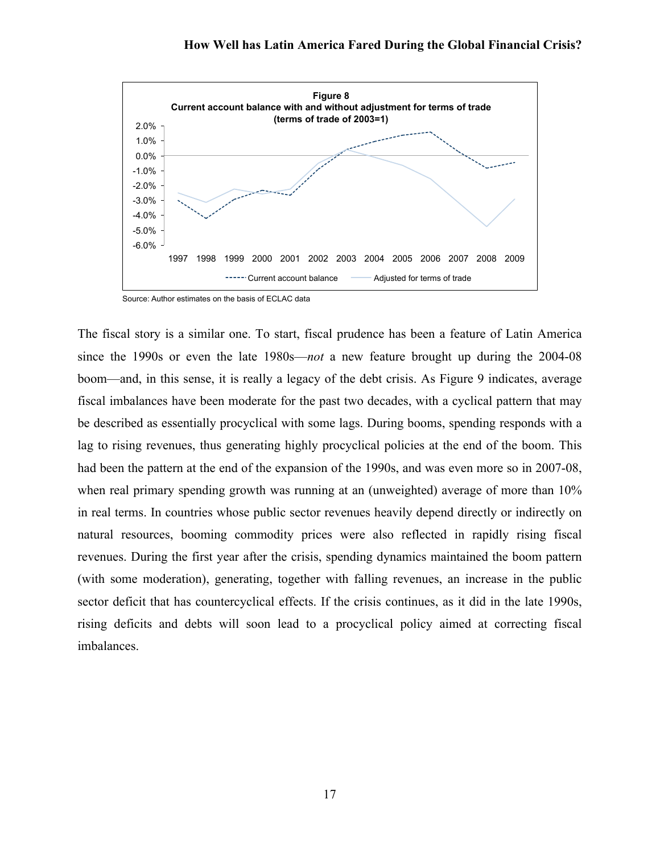

Source: Author estimates on the basis of ECLAC data

The fiscal story is a similar one. To start, fiscal prudence has been a feature of Latin America since the 1990s or even the late 1980s—*not* a new feature brought up during the 2004-08 boom—and, in this sense, it is really a legacy of the debt crisis. As Figure 9 indicates, average fiscal imbalances have been moderate for the past two decades, with a cyclical pattern that may be described as essentially procyclical with some lags. During booms, spending responds with a lag to rising revenues, thus generating highly procyclical policies at the end of the boom. This had been the pattern at the end of the expansion of the 1990s, and was even more so in 2007-08, when real primary spending growth was running at an (unweighted) average of more than  $10\%$ in real terms. In countries whose public sector revenues heavily depend directly or indirectly on natural resources, booming commodity prices were also reflected in rapidly rising fiscal revenues. During the first year after the crisis, spending dynamics maintained the boom pattern (with some moderation), generating, together with falling revenues, an increase in the public sector deficit that has countercyclical effects. If the crisis continues, as it did in the late 1990s, rising deficits and debts will soon lead to a procyclical policy aimed at correcting fiscal imbalances.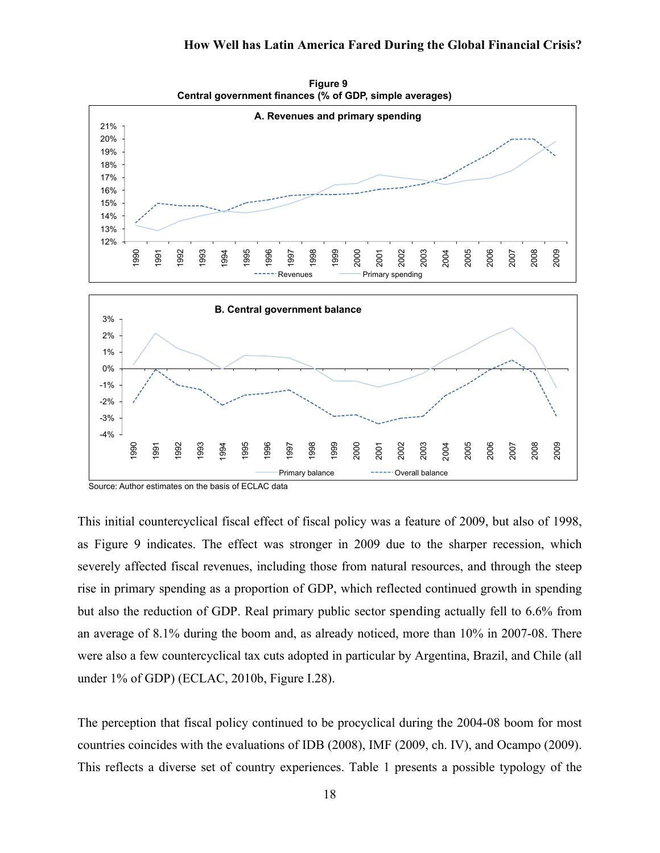

**Figure 9 Central government finances (% of GDP, simple averages)**

Source: Author estimates on the basis of ECLAC data

This initial countercyclical fiscal effect of fiscal policy was a feature of 2009, but also of 1998, as Figure 9 indicates. The effect was stronger in 2009 due to the sharper recession, which severely affected fiscal revenues, including those from natural resources, and through the steep rise in primary spending as a proportion of GDP, which reflected continued growth in spending but also the reduction of GDP. Real primary public sector spending actually fell to 6.6% from an average of 8.1% during the boom and, as already noticed, more than 10% in 2007-08. There were also a few countercyclical tax cuts adopted in particular by Argentina, Brazil, and Chile (all under 1% of GDP) (ECLAC, 2010b, Figure I.28).

The perception that fiscal policy continued to be procyclical during the 2004-08 boom for most countries coincides with the evaluations of IDB (2008), IMF (2009, ch. IV), and Ocampo (2009). This reflects a diverse set of country experiences. Table 1 presents a possible typology of the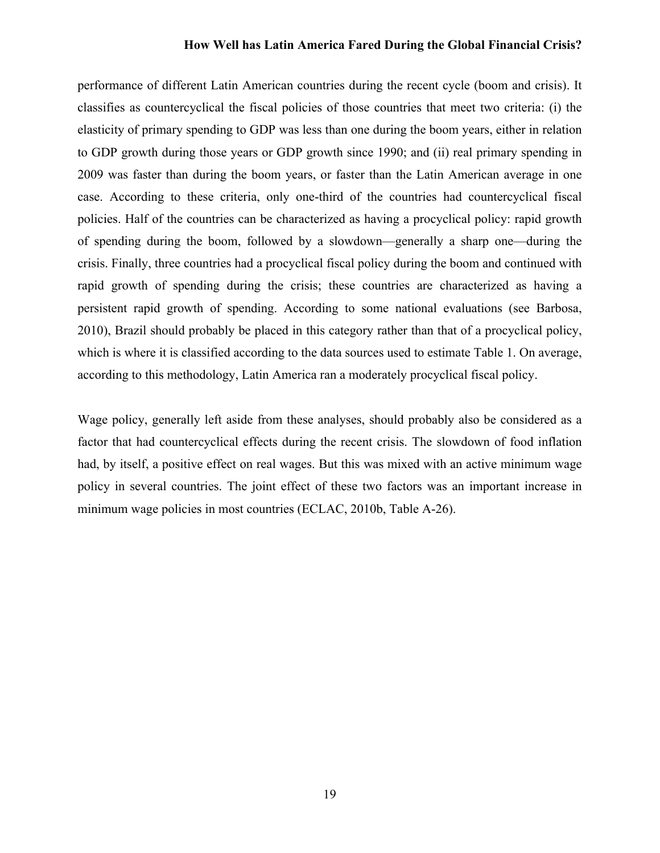performance of different Latin American countries during the recent cycle (boom and crisis). It classifies as countercyclical the fiscal policies of those countries that meet two criteria: (i) the elasticity of primary spending to GDP was less than one during the boom years, either in relation to GDP growth during those years or GDP growth since 1990; and (ii) real primary spending in 2009 was faster than during the boom years, or faster than the Latin American average in one case. According to these criteria, only one-third of the countries had countercyclical fiscal policies. Half of the countries can be characterized as having a procyclical policy: rapid growth of spending during the boom, followed by a slowdown—generally a sharp one—during the crisis. Finally, three countries had a procyclical fiscal policy during the boom and continued with rapid growth of spending during the crisis; these countries are characterized as having a persistent rapid growth of spending. According to some national evaluations (see Barbosa, 2010), Brazil should probably be placed in this category rather than that of a procyclical policy, which is where it is classified according to the data sources used to estimate Table 1. On average, according to this methodology, Latin America ran a moderately procyclical fiscal policy.

Wage policy, generally left aside from these analyses, should probably also be considered as a factor that had countercyclical effects during the recent crisis. The slowdown of food inflation had, by itself, a positive effect on real wages. But this was mixed with an active minimum wage policy in several countries. The joint effect of these two factors was an important increase in minimum wage policies in most countries (ECLAC, 2010b, Table A-26).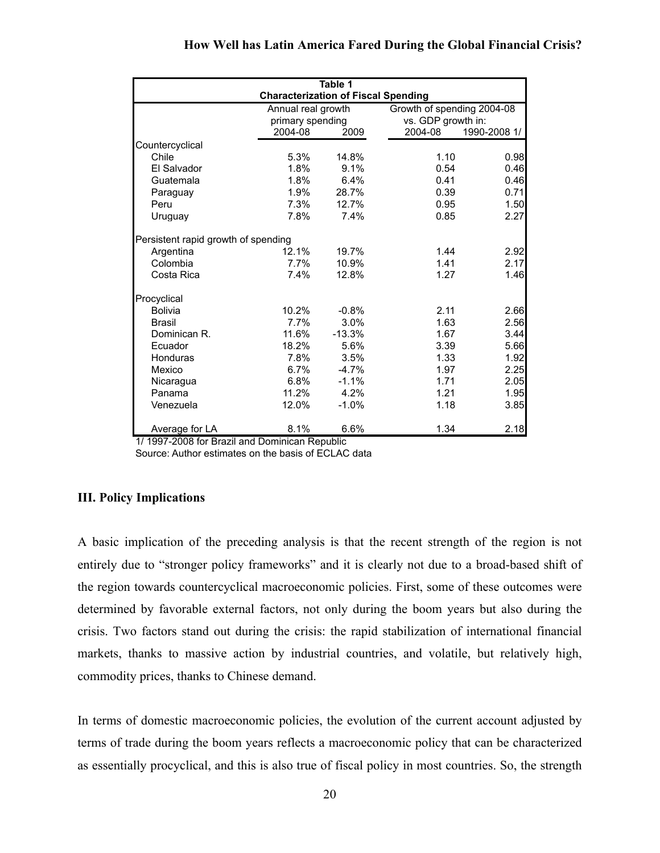|                                     |                                            | Table 1                                |         |                                                  |  |
|-------------------------------------|--------------------------------------------|----------------------------------------|---------|--------------------------------------------------|--|
|                                     | <b>Characterization of Fiscal Spending</b> |                                        |         |                                                  |  |
|                                     |                                            | Annual real growth<br>primary spending |         | Growth of spending 2004-08<br>vs. GDP growth in: |  |
|                                     |                                            |                                        |         |                                                  |  |
|                                     | 2004-08                                    | 2009                                   | 2004-08 | 1990-2008 1/                                     |  |
| Countercyclical                     |                                            |                                        |         |                                                  |  |
| Chile                               | 5.3%                                       | 14.8%                                  | 1.10    | 0.98                                             |  |
| El Salvador                         | 1.8%                                       | 9.1%                                   | 0.54    | 0.46                                             |  |
| Guatemala                           | 1.8%                                       | 6.4%                                   | 0.41    | 0.46                                             |  |
| Paraguay                            | 1.9%                                       | 28.7%                                  | 0.39    | 0.71                                             |  |
| Peru                                | 7.3%                                       | 12.7%                                  | 0.95    | 1.50                                             |  |
| Uruguay                             | 7.8%                                       | 7.4%                                   | 0.85    | 2.27                                             |  |
| Persistent rapid growth of spending |                                            |                                        |         |                                                  |  |
| Argentina                           | 12.1%                                      | 19.7%                                  | 1.44    | 2.92                                             |  |
| Colombia                            | 7.7%                                       | 10.9%                                  | 1.41    | 2.17                                             |  |
| Costa Rica                          | 7.4%                                       | 12.8%                                  | 1.27    | 1.46                                             |  |
| Procyclical                         |                                            |                                        |         |                                                  |  |
| <b>Bolivia</b>                      | 10.2%                                      | $-0.8%$                                | 2.11    | 2.66                                             |  |
| <b>Brasil</b>                       | 7.7%                                       | 3.0%                                   | 1.63    | 2.56                                             |  |
| Dominican R.                        | 11.6%                                      | $-13.3%$                               | 1.67    | 3.44                                             |  |
| Ecuador                             | 18.2%                                      | 5.6%                                   | 3.39    | 5.66                                             |  |
| Honduras                            | 7.8%                                       | 3.5%                                   | 1.33    | 1.92                                             |  |
| Mexico                              | 6.7%                                       | $-4.7%$                                | 1.97    | 2.25                                             |  |
| Nicaragua                           | 6.8%                                       | $-1.1%$                                | 1.71    | 2.05                                             |  |
| Panama                              | 11.2%                                      | 4.2%                                   | 1.21    | 1.95                                             |  |
| Venezuela                           | 12.0%                                      | $-1.0%$                                | 1.18    | 3.85                                             |  |

Average for LA 8.1% 6.6% 1.34 2.18

1/ 1997-2008 for Brazil and Dominican Republic

Source: Author estimates on the basis of ECLAC data

## **III. Policy Implications**

A basic implication of the preceding analysis is that the recent strength of the region is not entirely due to "stronger policy frameworks" and it is clearly not due to a broad-based shift of the region towards countercyclical macroeconomic policies. First, some of these outcomes were determined by favorable external factors, not only during the boom years but also during the crisis. Two factors stand out during the crisis: the rapid stabilization of international financial markets, thanks to massive action by industrial countries, and volatile, but relatively high, commodity prices, thanks to Chinese demand.

In terms of domestic macroeconomic policies, the evolution of the current account adjusted by terms of trade during the boom years reflects a macroeconomic policy that can be characterized as essentially procyclical, and this is also true of fiscal policy in most countries. So, the strength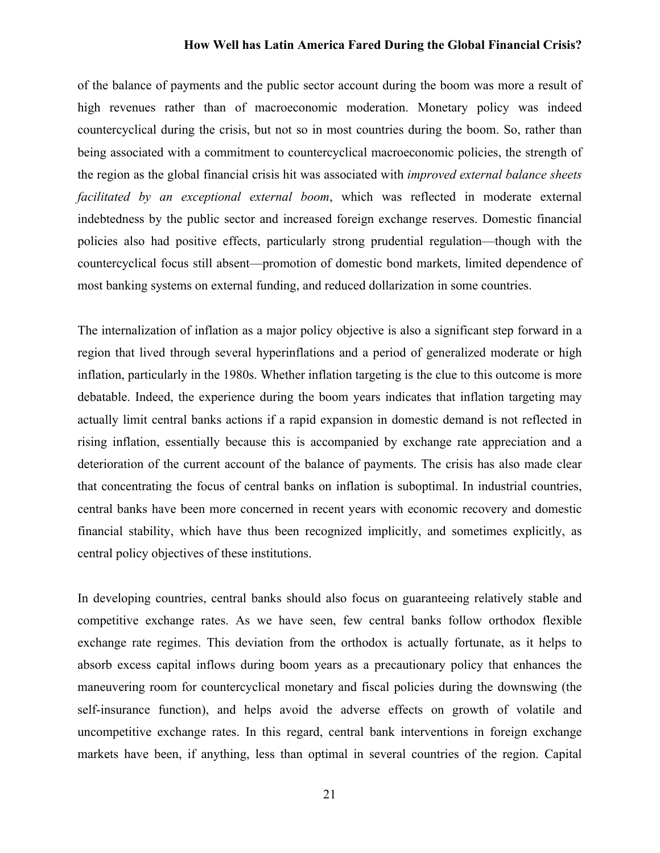of the balance of payments and the public sector account during the boom was more a result of high revenues rather than of macroeconomic moderation. Monetary policy was indeed countercyclical during the crisis, but not so in most countries during the boom. So, rather than being associated with a commitment to countercyclical macroeconomic policies, the strength of the region as the global financial crisis hit was associated with *improved external balance sheets facilitated by an exceptional external boom*, which was reflected in moderate external indebtedness by the public sector and increased foreign exchange reserves. Domestic financial policies also had positive effects, particularly strong prudential regulation—though with the countercyclical focus still absent—promotion of domestic bond markets, limited dependence of most banking systems on external funding, and reduced dollarization in some countries.

The internalization of inflation as a major policy objective is also a significant step forward in a region that lived through several hyperinflations and a period of generalized moderate or high inflation, particularly in the 1980s. Whether inflation targeting is the clue to this outcome is more debatable. Indeed, the experience during the boom years indicates that inflation targeting may actually limit central banks actions if a rapid expansion in domestic demand is not reflected in rising inflation, essentially because this is accompanied by exchange rate appreciation and a deterioration of the current account of the balance of payments. The crisis has also made clear that concentrating the focus of central banks on inflation is suboptimal. In industrial countries, central banks have been more concerned in recent years with economic recovery and domestic financial stability, which have thus been recognized implicitly, and sometimes explicitly, as central policy objectives of these institutions.

In developing countries, central banks should also focus on guaranteeing relatively stable and competitive exchange rates. As we have seen, few central banks follow orthodox flexible exchange rate regimes. This deviation from the orthodox is actually fortunate, as it helps to absorb excess capital inflows during boom years as a precautionary policy that enhances the maneuvering room for countercyclical monetary and fiscal policies during the downswing (the self-insurance function), and helps avoid the adverse effects on growth of volatile and uncompetitive exchange rates. In this regard, central bank interventions in foreign exchange markets have been, if anything, less than optimal in several countries of the region. Capital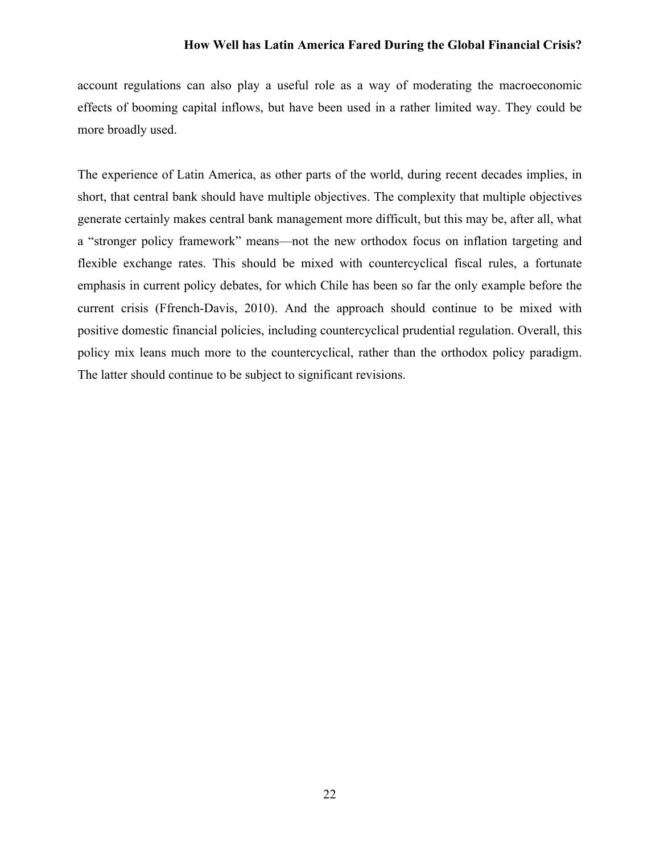account regulations can also play a useful role as a way of moderating the macroeconomic effects of booming capital inflows, but have been used in a rather limited way. They could be more broadly used.

The experience of Latin America, as other parts of the world, during recent decades implies, in short, that central bank should have multiple objectives. The complexity that multiple objectives generate certainly makes central bank management more difficult, but this may be, after all, what a "stronger policy framework" means—not the new orthodox focus on inflation targeting and flexible exchange rates. This should be mixed with countercyclical fiscal rules, a fortunate emphasis in current policy debates, for which Chile has been so far the only example before the current crisis (Ffrench-Davis, 2010). And the approach should continue to be mixed with positive domestic financial policies, including countercyclical prudential regulation. Overall, this policy mix leans much more to the countercyclical, rather than the orthodox policy paradigm. The latter should continue to be subject to significant revisions.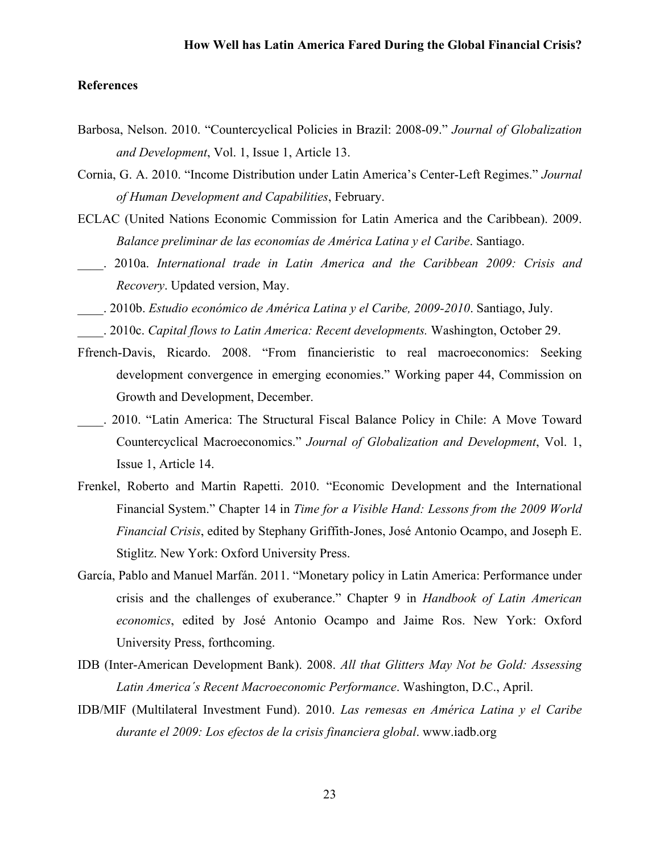## **References**

- Barbosa, Nelson. 2010. "Countercyclical Policies in Brazil: 2008-09." *Journal of Globalization and Development*, Vol. 1, Issue 1, Article 13.
- Cornia, G. A. 2010. "Income Distribution under Latin America's Center-Left Regimes." *Journal of Human Development and Capabilities*, February.
- ECLAC (United Nations Economic Commission for Latin America and the Caribbean). 2009. *Balance preliminar de las economías de América Latina y el Caribe*. Santiago.
- \_\_\_\_. 2010a. *International trade in Latin America and the Caribbean 2009: Crisis and Recovery*. Updated version, May.
- \_\_\_\_. 2010b. *Estudio económico de América Latina y el Caribe, 2009-2010*. Santiago, July.
- \_\_\_\_. 2010c. *Capital flows to Latin America: Recent developments.* Washington, October 29.
- Ffrench-Davis, Ricardo. 2008. "From financieristic to real macroeconomics: Seeking development convergence in emerging economies." Working paper 44, Commission on Growth and Development, December.
- \_\_\_\_. 2010. "Latin America: The Structural Fiscal Balance Policy in Chile: A Move Toward Countercyclical Macroeconomics." *Journal of Globalization and Development*, Vol. 1, Issue 1, Article 14.
- Frenkel, Roberto and Martin Rapetti. 2010. "Economic Development and the International Financial System." Chapter 14 in *Time for a Visible Hand: Lessons from the 2009 World Financial Crisis*, edited by Stephany Griffith-Jones, José Antonio Ocampo, and Joseph E. Stiglitz. New York: Oxford University Press.
- García, Pablo and Manuel Marfán. 2011. "Monetary policy in Latin America: Performance under crisis and the challenges of exuberance." Chapter 9 in *Handbook of Latin American economics*, edited by José Antonio Ocampo and Jaime Ros. New York: Oxford University Press, forthcoming.
- IDB (Inter-American Development Bank). 2008. *All that Glitters May Not be Gold: Assessing Latin America´s Recent Macroeconomic Performance*. Washington, D.C., April.
- IDB/MIF (Multilateral Investment Fund). 2010. *Las remesas en América Latina y el Caribe durante el 2009: Los efectos de la crisis financiera global*. www.iadb.org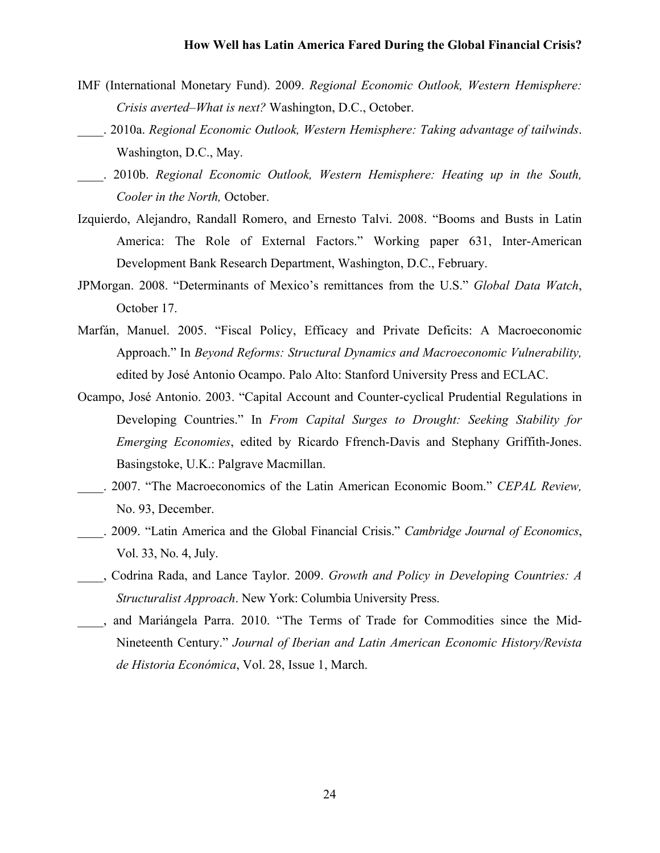- IMF (International Monetary Fund). 2009. *Regional Economic Outlook, Western Hemisphere: Crisis averted–What is next?* Washington, D.C., October.
- \_\_\_\_. 2010a. *Regional Economic Outlook, Western Hemisphere: Taking advantage of tailwinds*. Washington, D.C., May.
- \_\_\_\_. 2010b. *Regional Economic Outlook, Western Hemisphere: Heating up in the South, Cooler in the North,* October.
- Izquierdo, Alejandro, Randall Romero, and Ernesto Talvi. 2008. "Booms and Busts in Latin America: The Role of External Factors." Working paper 631, Inter-American Development Bank Research Department, Washington, D.C., February.
- JPMorgan. 2008. "Determinants of Mexico's remittances from the U.S." *Global Data Watch*, October 17.
- Marfán, Manuel. 2005. "Fiscal Policy, Efficacy and Private Deficits: A Macroeconomic Approach." In *Beyond Reforms: Structural Dynamics and Macroeconomic Vulnerability,*  edited by José Antonio Ocampo. Palo Alto: Stanford University Press and ECLAC.
- Ocampo, José Antonio. 2003. "Capital Account and Counter-cyclical Prudential Regulations in Developing Countries." In *From Capital Surges to Drought: Seeking Stability for Emerging Economies*, edited by Ricardo Ffrench-Davis and Stephany Griffith-Jones. Basingstoke, U.K.: Palgrave Macmillan.
- \_\_\_\_. 2007. "The Macroeconomics of the Latin American Economic Boom." *CEPAL Review,* No. 93, December.
- \_\_\_\_. 2009. "Latin America and the Global Financial Crisis." *Cambridge Journal of Economics*, Vol. 33, No. 4, July.
- \_\_\_\_, Codrina Rada, and Lance Taylor. 2009. *Growth and Policy in Developing Countries: A Structuralist Approach*. New York: Columbia University Press.
- \_\_\_\_, and Mariángela Parra. 2010. "The Terms of Trade for Commodities since the Mid-Nineteenth Century." *Journal of Iberian and Latin American Economic History/Revista de Historia Económica*, Vol. 28, Issue 1, March.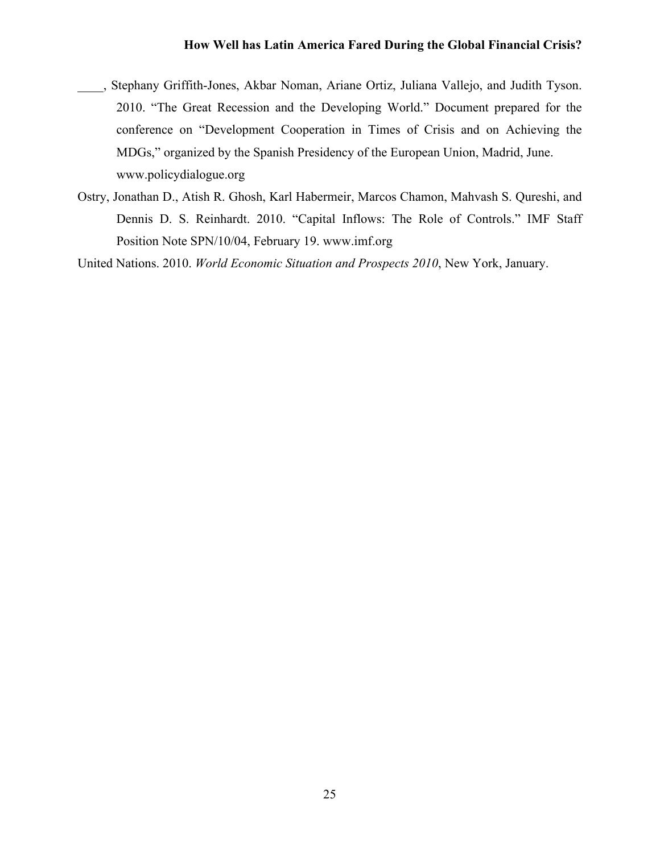- \_\_\_\_, Stephany Griffith-Jones, Akbar Noman, Ariane Ortiz, Juliana Vallejo, and Judith Tyson. 2010. "The Great Recession and the Developing World." Document prepared for the conference on "Development Cooperation in Times of Crisis and on Achieving the MDGs," organized by the Spanish Presidency of the European Union, Madrid, June. www.policydialogue.org
- Ostry, Jonathan D., Atish R. Ghosh, Karl Habermeir, Marcos Chamon, Mahvash S. Qureshi, and Dennis D. S. Reinhardt. 2010. "Capital Inflows: The Role of Controls." IMF Staff Position Note SPN/10/04, February 19. www.imf.org

United Nations. 2010. *World Economic Situation and Prospects 2010*, New York, January.